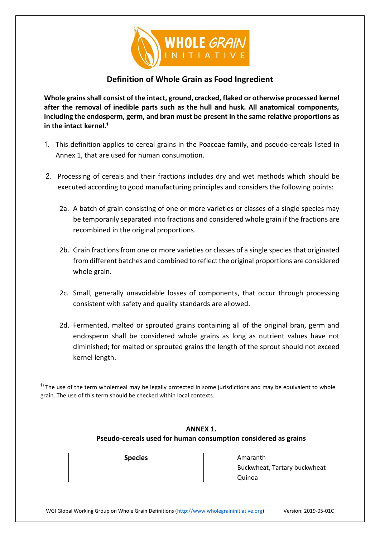

## **Definition of Whole Grain as Food Ingredient**

**Whole grains shall consist of the intact, ground, cracked, flaked or otherwise processed kernel after the removal of inedible parts such as the hull and husk. All anatomical components, including the endosperm, germ, and bran must be present in the same relative proportions as**  in the intact kernel.<sup>1</sup>

- 1. This definition applies to cereal grains in the Poaceae family, and pseudo-cereals listed in Annex 1, that are used for human consumption.
- 2. Processing of cereals and their fractions includes dry and wet methods which should be executed according to good manufacturing principles and considers the following points:
	- 2a. A batch of grain consisting of one or more varieties or classes of a single species may be temporarily separated into fractions and considered whole grain if the fractions are recombined in the original proportions.
	- 2b. Grain fractions from one or more varieties or classes of a single species that originated from different batches and combined to reflect the original proportions are considered whole grain.
	- 2c. Small, generally unavoidable losses of components, that occur through processing consistent with safety and quality standards are allowed.
	- 2d. Fermented, malted or sprouted grains containing all of the original bran, germ and endosperm shall be considered whole grains as long as nutrient values have not diminished; for malted or sprouted grains the length of the sprout should not exceed kernel length.

<sup>1)</sup> The use of the term wholemeal may be legally protected in some jurisdictions and may be equivalent to whole grain. The use of this term should be checked within local contexts.

## **ANNEX 1. Pseudo-cereals used for human consumption considered as grains**

| <b>Species</b> | Amaranth                     |
|----------------|------------------------------|
|                | Buckwheat, Tartary buckwheat |
|                | Quinoa                       |